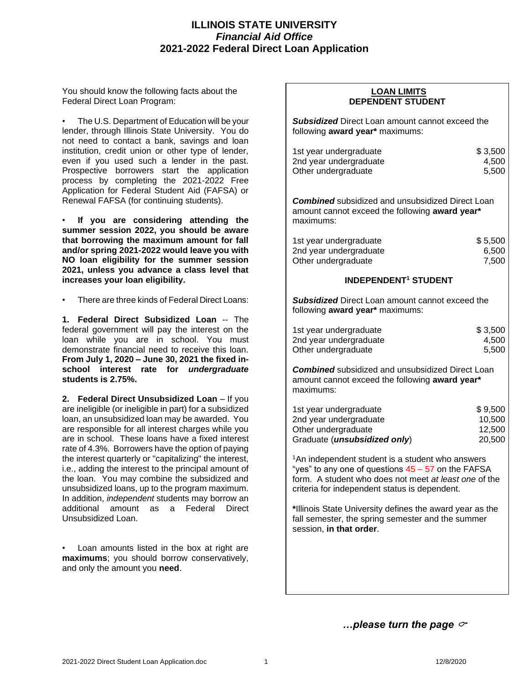# **ILLINOIS STATE UNIVERSITY** *Financial Aid Office* **2021-2022 Federal Direct Loan Application**

You should know the following facts about the Federal Direct Loan Program:

• The U.S. Department of Education will be your lender, through Illinois State University. You do not need to contact a bank, savings and loan institution, credit union or other type of lender, even if you used such a lender in the past. Prospective borrowers start the application process by completing the 2021-2022 Free Application for Federal Student Aid (FAFSA) or Renewal FAFSA (for continuing students).

• **If you are considering attending the summer session 2022, you should be aware that borrowing the maximum amount for fall and/or spring 2021-2022 would leave you with NO loan eligibility for the summer session 2021, unless you advance a class level that increases your loan eligibility.**

There are three kinds of Federal Direct Loans:

**1. Federal Direct Subsidized Loan** -- The federal government will pay the interest on the loan while you are in school. You must demonstrate financial need to receive this loan. **From July 1, 2020 – June 30, 2021 the fixed inschool interest rate for** *undergraduate* **students is 2.75%.**

**2. Federal Direct Unsubsidized Loan** – If you are ineligible (or ineligible in part) for a subsidized loan, an unsubsidized loan may be awarded. You are responsible for all interest charges while you are in school. These loans have a fixed interest rate of 4.3%. Borrowers have the option of paying the interest quarterly or "capitalizing" the interest, i.e., adding the interest to the principal amount of the loan. You may combine the subsidized and unsubsidized loans, up to the program maximum. In addition, *independent* students may borrow an additional amount as a Federal Direct Unsubsidized Loan.

Loan amounts listed in the box at right are **maximums**; you should borrow conservatively, and only the amount you **need**.

## **LOAN LIMITS DEPENDENT STUDENT**

*Subsidized* Direct Loan amount cannot exceed the following **award year\*** maximums:

| 1st year undergraduate | \$3,500 |
|------------------------|---------|
| 2nd year undergraduate | 4.500   |
| Other undergraduate    | 5.500   |

*Combined* subsidized and unsubsidized Direct Loan amount cannot exceed the following **award year\*** maximums:

| 1st year undergraduate | \$5,500 |
|------------------------|---------|
| 2nd year undergraduate | 6,500   |
| Other undergraduate    | 7,500   |

## **INDEPENDENT<sup>1</sup> STUDENT**

*Subsidized* Direct Loan amount cannot exceed the following **award year\*** maximums:

| 1st year undergraduate | \$3,500 |  |  |
|------------------------|---------|--|--|
| 2nd year undergraduate | 4.500   |  |  |
| Other undergraduate    | 5.500   |  |  |

*Combined* subsidized and unsubsidized Direct Loan amount cannot exceed the following **award year\*** maximums:

| 1st year undergraduate                | \$9.500 |  |  |
|---------------------------------------|---------|--|--|
| 2nd year undergraduate                | 10.500  |  |  |
| Other undergraduate                   | 12.500  |  |  |
| Graduate ( <i>unsubsidized only</i> ) | 20,500  |  |  |

<sup>1</sup>An independent student is a student who answers "yes" to any one of questions  $45 - 57$  on the FAFSA form. A student who does not meet *at least one* of the criteria for independent status is dependent.

**\***Illinois State University defines the award year as the fall semester, the spring semester and the summer session, **in that order**.

*…please turn the page*